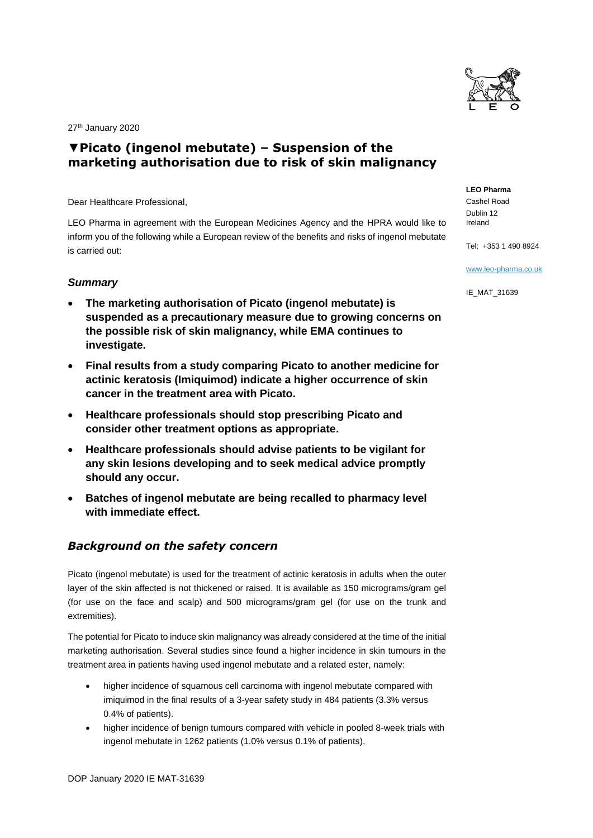

27<sup>th</sup> January 2020

# **▼Picato (ingenol mebutate) – Suspension of the marketing authorisation due to risk of skin malignancy**

Dear Healthcare Professional,

LEO Pharma in agreement with the European Medicines Agency and the HPRA would like to inform you of the following while a European review of the benefits and risks of ingenol mebutate is carried out:

#### *Summary*

- **The marketing authorisation of Picato (ingenol mebutate) is suspended as a precautionary measure due to growing concerns on the possible risk of skin malignancy, while EMA continues to investigate.**
- **Final results from a study comparing Picato to another medicine for actinic keratosis (Imiquimod) indicate a higher occurrence of skin cancer in the treatment area with Picato.**
- **Healthcare professionals should stop prescribing Picato and consider other treatment options as appropriate.**
- **Healthcare professionals should advise patients to be vigilant for any skin lesions developing and to seek medical advice promptly should any occur.**
- **Batches of ingenol mebutate are being recalled to pharmacy level with immediate effect.**

## *Background on the safety concern*

Picato (ingenol mebutate) is used for the treatment of actinic keratosis in adults when the outer layer of the skin affected is not thickened or raised. It is available as 150 micrograms/gram gel (for use on the face and scalp) and 500 micrograms/gram gel (for use on the trunk and extremities).

The potential for Picato to induce skin malignancy was already considered at the time of the initial marketing authorisation. Several studies since found a higher incidence in skin tumours in the treatment area in patients having used ingenol mebutate and a related ester, namely:

- higher incidence of squamous cell carcinoma with ingenol mebutate compared with imiquimod in the final results of a 3-year safety study in 484 patients (3.3% versus 0.4% of patients).
- higher incidence of benign tumours compared with vehicle in pooled 8-week trials with ingenol mebutate in 1262 patients (1.0% versus 0.1% of patients).

**LEO Pharma** Cashel Road Dublin 12 Ireland

Tel: +353 1 490 8924

[www.leo-pharma.co.uk](http://www.leo-pharma.co.uk/)

IE\_MAT\_31639